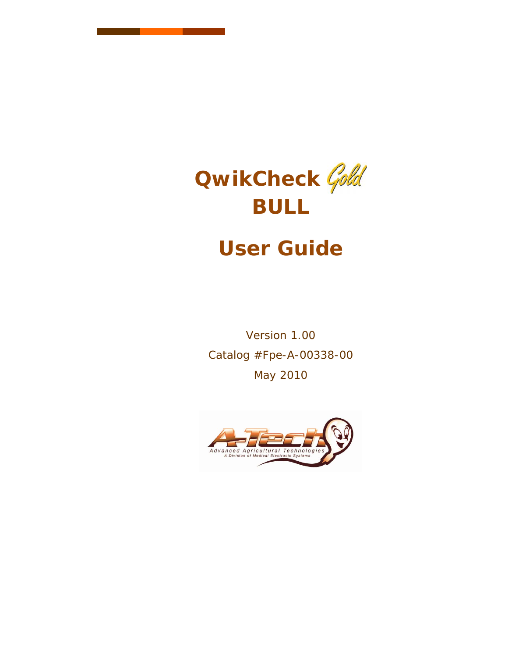

# **User Guide**

Version 1.00 Catalog #Fpe-A-00338-00 May 2010

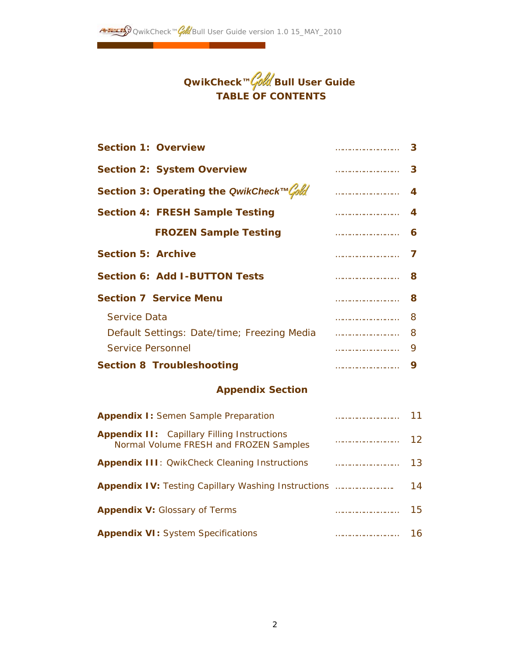

| <b>Section 1: Overview</b>                                                                   |  | З  |  |  |
|----------------------------------------------------------------------------------------------|--|----|--|--|
| <b>Section 2: System Overview</b>                                                            |  | 3  |  |  |
| Section 3: Operating the QwikCheck™Cold                                                      |  | 4  |  |  |
| <b>Section 4: FRESH Sample Testing</b>                                                       |  | 4  |  |  |
| <b>FROZEN Sample Testing</b>                                                                 |  | 6  |  |  |
| <b>Section 5: Archive</b>                                                                    |  | 7  |  |  |
| <b>Section 6: Add I-BUTTON Tests</b>                                                         |  | 8  |  |  |
| <b>Section 7 Service Menu</b>                                                                |  |    |  |  |
| <b>Service Data</b>                                                                          |  | 8  |  |  |
| Default Settings: Date/time; Freezing Media                                                  |  |    |  |  |
| <b>Service Personnel</b>                                                                     |  | 9  |  |  |
| <b>Section 8 Troubleshooting</b>                                                             |  |    |  |  |
| <b>Appendix Section</b>                                                                      |  |    |  |  |
| <b>Appendix I:</b> Semen Sample Preparation                                                  |  | 11 |  |  |
| <b>Appendix II:</b> Capillary Filling Instructions<br>Normal Volume FRESH and FROZEN Samples |  |    |  |  |
| <b>Appendix III:</b> OwikCheck Cleaning Instructions                                         |  |    |  |  |
|                                                                                              |  |    |  |  |
| <b>Appendix V:</b> Glossary of Terms                                                         |  |    |  |  |
| <b>Appendix VI:</b> System Specifications<br>16                                              |  |    |  |  |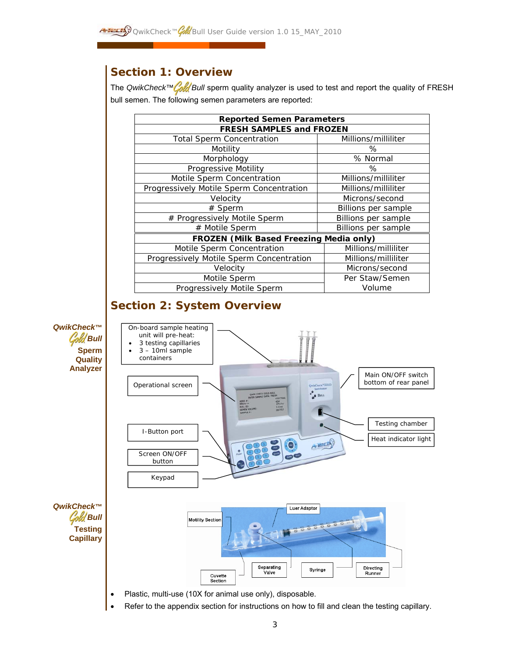# *Section 1: Overview*

The *QwikCheck™ Cold* Bull sperm quality analyzer is used to test and report the quality of FRESH bull semen. The following semen parameters are reported:

| <b>Reported Semen Parameters</b>               |                     |  |  |
|------------------------------------------------|---------------------|--|--|
| <b>FRESH SAMPLES and FROZEN</b>                |                     |  |  |
| <b>Total Sperm Concentration</b>               | Millions/milliliter |  |  |
| Motility                                       | %                   |  |  |
| Morphology                                     | % Normal            |  |  |
| Progressive Motility                           | %                   |  |  |
| Motile Sperm Concentration                     | Millions/milliliter |  |  |
| Progressively Motile Sperm Concentration       | Millions/milliliter |  |  |
| Velocity                                       | Microns/second      |  |  |
| $#$ Sperm                                      | Billions per sample |  |  |
| # Progressively Motile Sperm                   | Billions per sample |  |  |
| # Motile Sperm                                 | Billions per sample |  |  |
| <b>FROZEN (Milk Based Freezing Media only)</b> |                     |  |  |
| Motile Sperm Concentration                     | Millions/milliliter |  |  |
| Progressively Motile Sperm Concentration       | Millions/milliliter |  |  |
| Velocity                                       | Microns/second      |  |  |
| Motile Sperm                                   | Per Staw/Semen      |  |  |
| Progressively Motile Sperm                     | Volume              |  |  |

# *Section 2: System Overview*

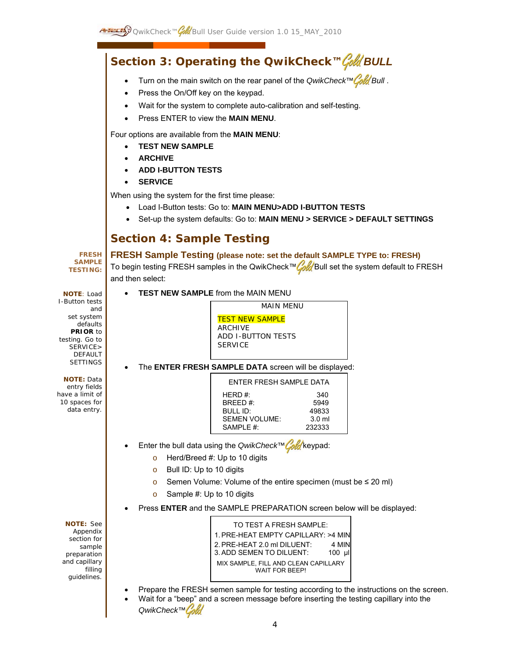# *Section 3: Operating the QwikCheck™ BULL*

- Turn on the main switch on the rear panel of the *QwikCheck™ Bull* .
- Press the On/Off key on the keypad.
- Wait for the system to complete auto-calibration and self-testing.
- Press ENTER to view the **MAIN MENU**.

Four options are available from the **MAIN MENU**:

- **TEST NEW SAMPLE**
- **ARCHIVE**
- **ADD I-BUTTON TESTS**
- **SERVICE**

When using the system for the first time please:

- Load I-Button tests: Go to: **MAIN MENU>ADD I-BUTTON TESTS**
- Set-up the system defaults: Go to: **MAIN MENU > SERVICE > DEFAULT SETTINGS**

# *Section 4: Sample Testing*

#### **FRESH SAMPLE TESTING:**

and set system defaults **PRIOR** to testing. Go to SERVICE> DEFAULT SETTINGS

**NOTE**: Load I-Button tests

**NOTE:** Data entry fields have a limit of 10 spaces for data entry.

# **FRESH Sample Testing (please note: set the default SAMPLE TYPE to: FRESH)**

To begin testing FRESH samples in the QwikCheck™ Cold Bull set the system default to FRESH and then select:

• **TEST NEW SAMPLE** from the MAIN MENU

MAIN MENU **TEST NEW SAMPLE** ARCHIVE ADD I-BUTTON TESTS **SERVICF** 

# • The **ENTER FRESH SAMPLE DATA** screen will be displayed:

| ENTER FRESH SAMPLE DATA |                  |
|-------------------------|------------------|
| HFRD $#$                | 340              |
| BRFFD#:                 | 5949             |
| BULL ID:                | 49833            |
| <b>SEMEN VOLUME:</b>    | 3.0 <sub>m</sub> |
| SAMPLE #:               | 232333           |

- Enter the bull data using the *QwikCheck™Cold* keypad:
	- $\circ$  Herd/Breed #: Up to 10 digits
	- o Bull ID: Up to 10 digits
	- o Semen Volume: Volume of the entire specimen (must be ≤ 20 ml)
	- o Sample #: Up to 10 digits
	- Press **ENTER** and the SAMPLE PREPARATION screen below will be displayed:

**NOTE:** See Appendix section for sample preparation and capillary filling guidelines.

| TO TEST A FRESH SAMPLE:              |        |  |
|--------------------------------------|--------|--|
| 1. PRE-HEAT EMPTY CAPILLARY: >4 MIN  |        |  |
| 2. PRE-HEAT 2.0 ml DILUENT.          | 4 MIN  |  |
| 3. ADD SEMEN TO DILUENT:             | 100 µl |  |
| MIX SAMPLE, FILL AND CLEAN CAPILLARY |        |  |
| <b>WAIT FOR BEEP!</b>                |        |  |

- Prepare the FRESH semen sample for testing according to the instructions on the screen.
- Wait for a "beep" and a screen message before inserting the testing capillary into the *QwikCheck™*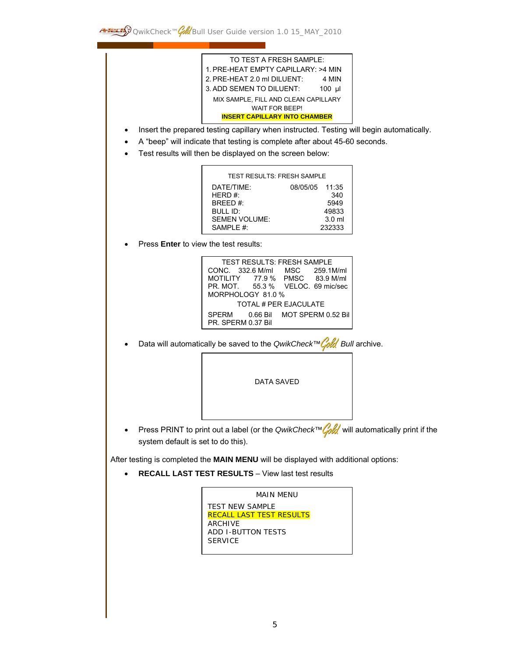

- Insert the prepared testing capillary when instructed. Testing will begin automatically.
- A "beep" will indicate that testing is complete after about 45-60 seconds.
- Test results will then be displayed on the screen below:

| <b>TEST RESULTS: FRESH SAMPLE</b> |                |                  |
|-----------------------------------|----------------|------------------|
| DATE/TIME:                        | 08/05/05 11:35 |                  |
| HERD $#$                          |                | 340              |
| BRFFD#:                           |                | 5949             |
| BULL ID:                          |                | 49833            |
| <b>SEMEN VOLUME:</b>              |                | 3.0 <sub>m</sub> |
| SAMPLE $#$                        |                | 232333           |

Press **Enter** to view the test results:



**Data will automatically be saved to the** *QwikCheck™ Cold* Bull archive.



• Press PRINT to print out a label (or the *QwikCheck™ Cold* will automatically print if the system default is set to do this).

After testing is completed the **MAIN MENU** will be displayed with additional options:

• **RECALL LAST TEST RESULTS** – View last test results

```
MAIN MENU 
TEST NEW SAMPLE 
RECALL LAST TEST RESULTS 
ARCHIVE 
ADD I-BUTTON TESTS 
SERVICE
```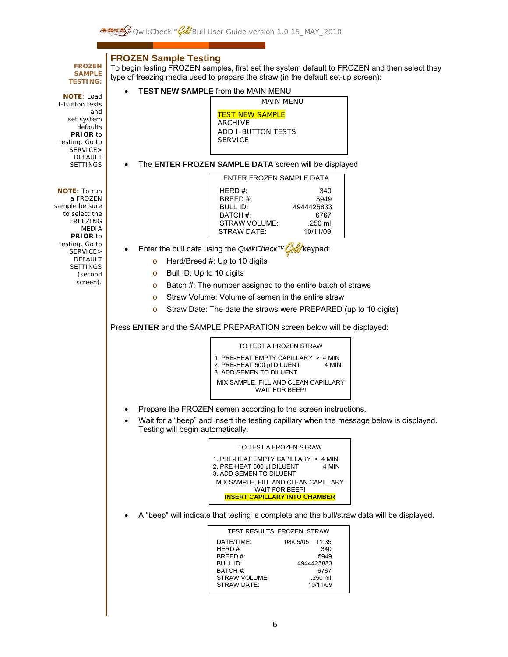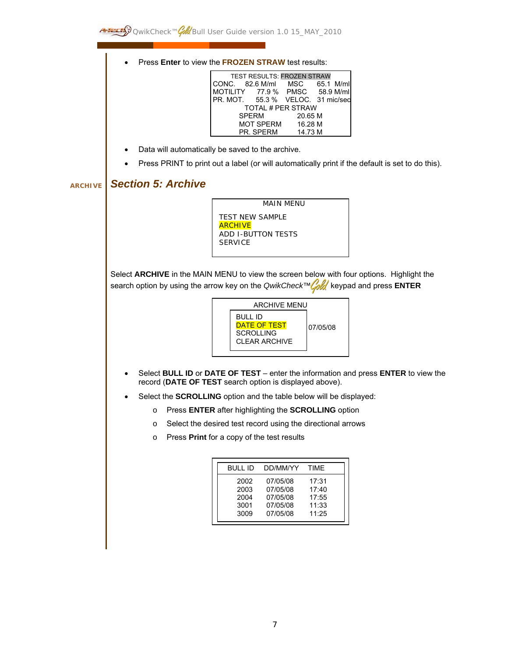• Press **Enter** to view the **FROZEN STRAW** test results:

| TEST RESULTS: FROZEN STRAW        |         |  |
|-----------------------------------|---------|--|
| CONC. 82.6 M/ml MSC 65.1 M/ml     |         |  |
| MOTILITY 77.9 % PMSC 58.9 M/ml    |         |  |
| PR. MOT. 55.3 % VELOC. 31 mic/sed |         |  |
| <b>TOTAL # PER STRAW</b>          |         |  |
| <b>SPERM</b>                      | 20.65 M |  |
| MOT SPERM 16.28 M                 |         |  |
| PR. SPERM                         | 14.73 M |  |

- Data will automatically be saved to the archive.
- Press PRINT to print out a label (or will automatically print if the default is set to do this).

# **ARCHIVE** *Section 5: Archive*

MAIN MENU TEST NEW SAMPLE **ARCHIVE** ADD I-BUTTON TESTS SERVICE

Select **ARCHIVE** in the MAIN MENU to view the screen below with four options. Highlight the search option by using the arrow key on the *QwikCheck™ fold* keypad and press **ENTER** 



- Select **BULL ID** or **DATE OF TEST** enter the information and press **ENTER** to view the record (**DATE OF TEST** search option is displayed above).
- Select the **SCROLLING** option and the table below will be displayed:
	- o Press **ENTER** after highlighting the **SCROLLING** option
	- o Select the desired test record using the directional arrows
	- o Press **Print** for a copy of the test results

| 2002<br>07/05/08<br>17:31<br>2003<br>07/05/08<br>17:40<br>07/05/08<br>17:55<br>2004<br>11:33<br>3001<br>07/05/08<br>11:25<br>3009<br>07/05/08 |  |
|-----------------------------------------------------------------------------------------------------------------------------------------------|--|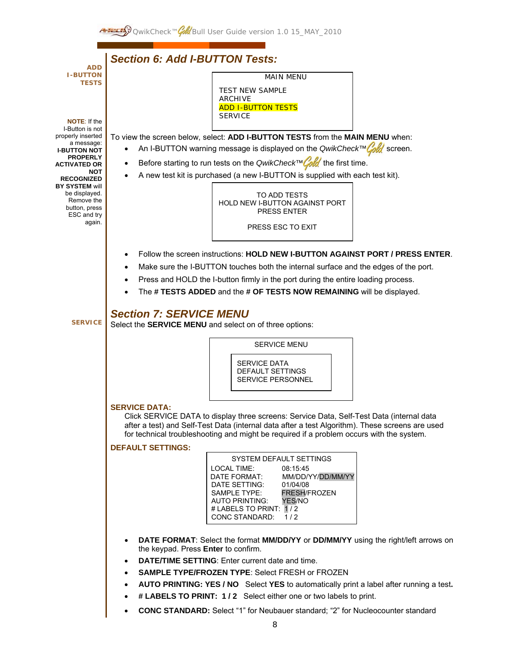

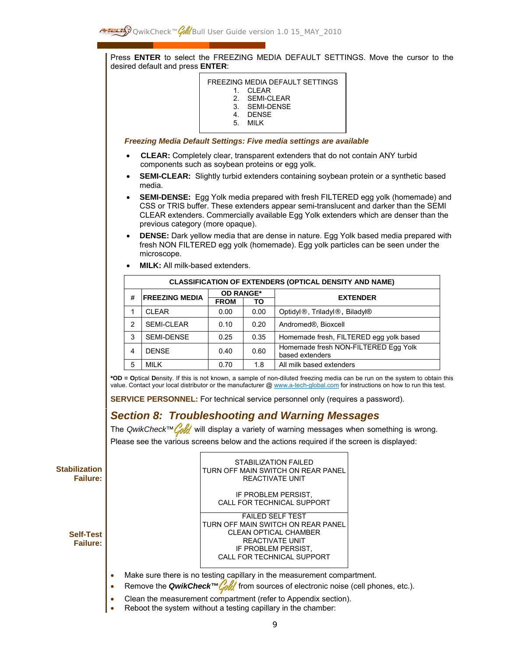Press **ENTER** to select the FREEZING MEDIA DEFAULT SETTINGS. Move the cursor to the desired default and press **ENTER**:

| FREEZING MEDIA DEFAULT SETTINGS<br>CI FAR<br>SFMI-CI FAR<br>$\mathcal{P}$<br>3. SEMI-DENSE<br><b>DENSE</b><br>4<br>MII K<br>5. |  |
|--------------------------------------------------------------------------------------------------------------------------------|--|
| <b>Freezing Media Default Settings: Five media settings are available</b>                                                      |  |

- • **CLEAR:** Completely clear, transparent extenders that do not contain ANY turbid components such as soybean proteins or egg yolk.
- **SEMI-CLEAR:** Slightly turbid extenders containing soybean protein or a synthetic based media.
- **SEMI-DENSE:** Egg Yolk media prepared with fresh FILTERED egg yolk (homemade) and CSS or TRIS buffer. These extenders appear semi-translucent and darker than the SEMI CLEAR extenders. Commercially available Egg Yolk extenders which are denser than the previous category (more opaque).
- **DENSE:** Dark yellow media that are dense in nature. Egg Yolk based media prepared with fresh NON FILTERED egg yolk (homemade). Egg yolk particles can be seen under the microscope.
- **MILK:** All milk-based extenders.

| <b>CLASSIFICATION OF EXTENDERS (OPTICAL DENSITY AND NAME)</b> |                            |                  |      |                                                         |
|---------------------------------------------------------------|----------------------------|------------------|------|---------------------------------------------------------|
|                                                               | <b>FREEZING MEDIA</b><br># | <b>OD RANGE*</b> |      | <b>EXTENDER</b>                                         |
|                                                               |                            | <b>FROM</b>      | ΤO   |                                                         |
|                                                               | <b>CLEAR</b>               | 0.00             | 0.00 | Optidyl®, Triladyl®, Biladyl®                           |
| 2                                                             | <b>SEMI-CLEAR</b>          | 0.10             | 0.20 | Andromed <sup>®</sup> , Bioxcell                        |
| 3                                                             | <b>SEMI-DENSE</b>          | 0.25             | 0.35 | Homemade fresh, FILTERED egg yolk based                 |
| 4                                                             | <b>DENSE</b>               | 0.40             | 0.60 | Homemade fresh NON-FILTERED Egg Yolk<br>based extenders |
| 5                                                             | <b>MILK</b>                | 0.70             | 1.8  | All milk based extenders                                |

**\*OD = O**ptical **D**ensity. If this is not known, a sample of non-diluted freezing media can be run on the system to obtain this value. Contact your local distributor or the manufacturer @ www.a-tech-global.com for instructions on how to run this test.

**SERVICE PERSONNEL:** For technical service personnel only (requires a password).

# *Section 8: Troubleshooting and Warning Messages*

The *QwikCheck™ Cold* will display a variety of warning messages when something is wrong. Please see the various screens below and the actions required if the screen is displayed:

**Stabilization Failure:** 

> **Self-Test Failure:**

STABILIZATION FAILED TURN OFF MAIN SWITCH ON REAR PANEL REACTIVATE UNIT

IF PROBLEM PERSIST, CALL FOR TECHNICAL SUPPORT

FAILED SELF TEST TURN OFF MAIN SWITCH ON REAR PANEL CLEAN OPTICAL CHAMBER REACTIVATE UNIT IF PROBLEM PERSIST, CALL FOR TECHNICAL SUPPORT

- Make sure there is no testing capillary in the measurement compartment.
- Remove the *QwikCheck™ fold* from sources of electronic noise (cell phones, etc.).
- Clean the measurement compartment (refer to Appendix section).
- Reboot the system without a testing capillary in the chamber: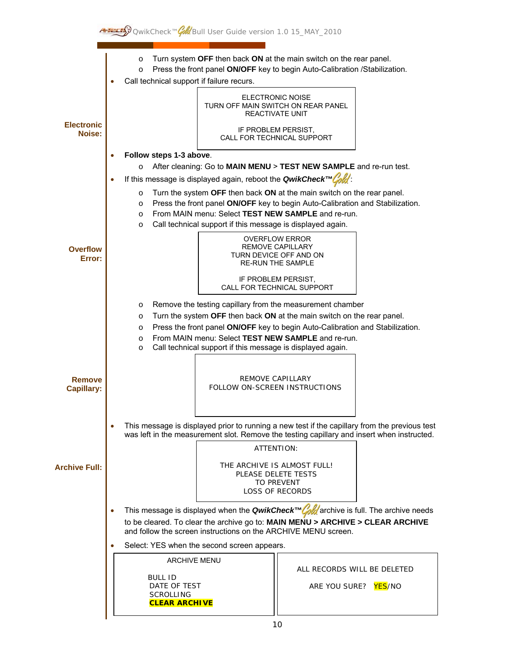

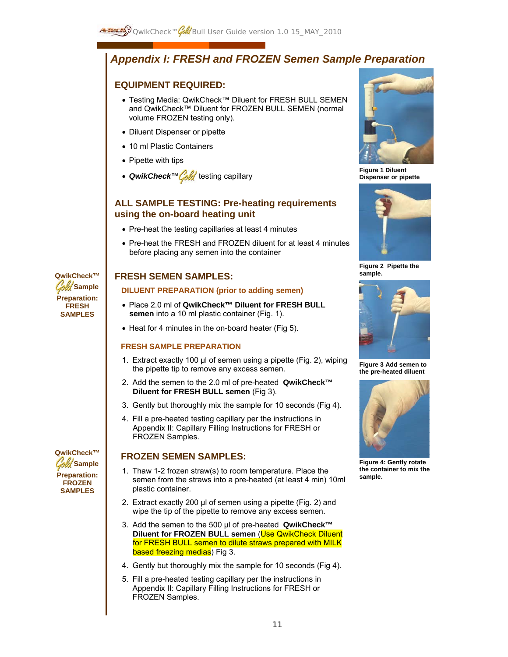# *Appendix I: FRESH and FROZEN Semen Sample Preparation*

# **EQUIPMENT REQUIRED:**

- Testing Media: QwikCheck™ Diluent for FRESH BULL SEMEN and QwikCheck™ Diluent for FROZEN BULL SEMEN (normal volume FROZEN testing only).
- Diluent Dispenser or pipette
- 10 ml Plastic Containers
- Pipette with tips
- *QwikCheck™ Cold* testing capillary

# **ALL SAMPLE TESTING: Pre-heating requirements using the on-board heating unit**

- Pre-heat the testing capillaries at least 4 minutes
- Pre-heat the FRESH and FROZEN diluent for at least 4 minutes before placing any semen into the container

# **FRESH SEMEN SAMPLES:**

# **DILUENT PREPARATION (prior to adding semen)**

- Place 2.0 ml of **QwikCheck™ Diluent for FRESH BULL semen** into a 10 ml plastic container (Fig. 1).
- Heat for 4 minutes in the on-board heater (Fig 5).

# **FRESH SAMPLE PREPARATION**

- 1. Extract exactly 100 µl of semen using a pipette (Fig. 2), wiping the pipette tip to remove any excess semen.
- 2. Add the semen to the 2.0 ml of pre-heated **QwikCheck™ Diluent for FRESH BULL semen** (Fig 3).
- 3. Gently but thoroughly mix the sample for 10 seconds (Fig 4).
- 4. Fill a pre-heated testing capillary per the instructions in Appendix II: Capillary Filling Instructions for FRESH or FROZEN Samples.

# **FROZEN SEMEN SAMPLES:**

- 1. Thaw 1-2 frozen straw(s) to room temperature. Place the semen from the straws into a pre-heated (at least 4 min) 10ml plastic container.
- 2. Extract exactly 200 µl of semen using a pipette (Fig. 2) and wipe the tip of the pipette to remove any excess semen.
- 3. Add the semen to the 500 µl of pre-heated **QwikCheck™ Diluent for FROZEN BULL semen** (Use QwikCheck Diluent for FRESH BULL semen to dilute straws prepared with MILK based freezing medias) Fig 3.
- 4. Gently but thoroughly mix the sample for 10 seconds (Fig 4).
- 5. Fill a pre-heated testing capillary per the instructions in Appendix II: Capillary Filling Instructions for FRESH or FROZEN Samples.

![](_page_10_Picture_26.jpeg)

**Figure 1 Diluent Dispenser or pipette** 

![](_page_10_Picture_28.jpeg)

**Figure 2 Pipette the sample.**

![](_page_10_Picture_30.jpeg)

**Figure 3 Add semen to the pre-heated diluent** 

![](_page_10_Picture_32.jpeg)

**Figure 4: Gently rotate the container to mix the sample.** 

**Sample Preparation: FRESH SAMPLES** 

**QwikCheck™** 

![](_page_10_Picture_35.jpeg)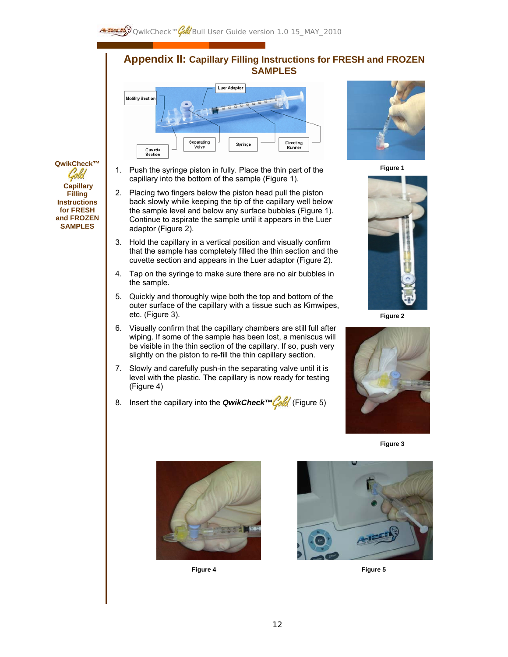# **Appendix II: Capillary Filling Instructions for FRESH and FROZEN SAMPLES**

![](_page_11_Figure_2.jpeg)

1. Push the syringe piston in fully. Place the thin part of the capillary into the bottom of the sample (Figure 1).

**QwikCheck™** 

 **Capillary Filling Instructions for FRESH and FROZEN SAMPLES**

- 2. Placing two fingers below the piston head pull the piston back slowly while keeping the tip of the capillary well below the sample level and below any surface bubbles (Figure 1). Continue to aspirate the sample until it appears in the Luer adaptor (Figure 2).
- 3. Hold the capillary in a vertical position and visually confirm that the sample has completely filled the thin section and the cuvette section and appears in the Luer adaptor (Figure 2).
- 4. Tap on the syringe to make sure there are no air bubbles in the sample.
- 5. Quickly and thoroughly wipe both the top and bottom of the outer surface of the capillary with a tissue such as Kimwipes, etc. (Figure 3).
- 6. Visually confirm that the capillary chambers are still full after wiping. If some of the sample has been lost, a meniscus will be visible in the thin section of the capillary. If so, push very slightly on the piston to re-fill the thin capillary section.
- 7. Slowly and carefully push-in the separating valve until it is level with the plastic. The capillary is now ready for testing (Figure 4)
- 8. Insert the capillary into the *QwikCheck™* (Figure 5)

![](_page_11_Picture_11.jpeg)

**Figure 1** 

![](_page_11_Picture_13.jpeg)

**Figure 2** 

![](_page_11_Picture_15.jpeg)

**Figure 3**

![](_page_11_Picture_17.jpeg)

 **Figure 4** 

![](_page_11_Picture_19.jpeg)

**Figure 5**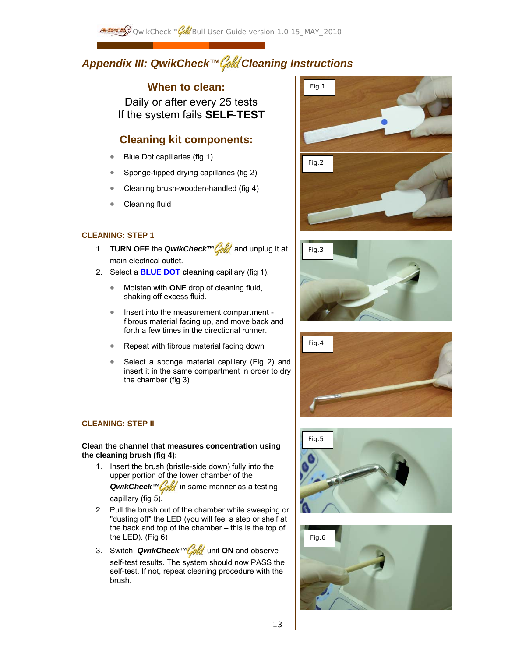# *Appendix III: QwikCheck™ Cleaning Instructions*

# **When to clean:**

Daily or after every 25 tests If the system fails **SELF-TEST**

# **Cleaning kit components:**

- Blue Dot capillaries (fig 1)
- Sponge-tipped drying capillaries (fig 2)
- Cleaning brush-wooden-handled (fig 4)
- Cleaning fluid

# **CLEANING: STEP 1**

- 1. **TURN OFF** the *QwikCheck™ Cold* and unplug it at main electrical outlet.
- 2. Select a **BLUE DOT cleaning** capillary (fig 1).
	- Moisten with **ONE** drop of cleaning fluid, shaking off excess fluid.
	- Insert into the measurement compartment fibrous material facing up, and move back and forth a few times in the directional runner.
	- Repeat with fibrous material facing down
	- Select a sponge material capillary (Fig 2) and insert it in the same compartment in order to dry the chamber (fig 3)

# **CLEANING: STEP II**

## **Clean the channel that measures concentration using the cleaning brush (fig 4):**

- 1. Insert the brush (bristle-side down) fully into the upper portion of the lower chamber of the **QwikCheck™ fold** in same manner as a testing capillary (fig 5).
- 2. Pull the brush out of the chamber while sweeping or "dusting off" the LED (you will feel a step or shelf at the back and top of the chamber – this is the top of the LED). (Fig 6)
- 3. Switch *QwikCheck™Cold* unit ON and observe self-test results. The system should now PASS the self-test. If not, repeat cleaning procedure with the brush.

![](_page_12_Picture_21.jpeg)

![](_page_12_Picture_22.jpeg)

![](_page_12_Picture_23.jpeg)

![](_page_12_Picture_24.jpeg)

![](_page_12_Picture_25.jpeg)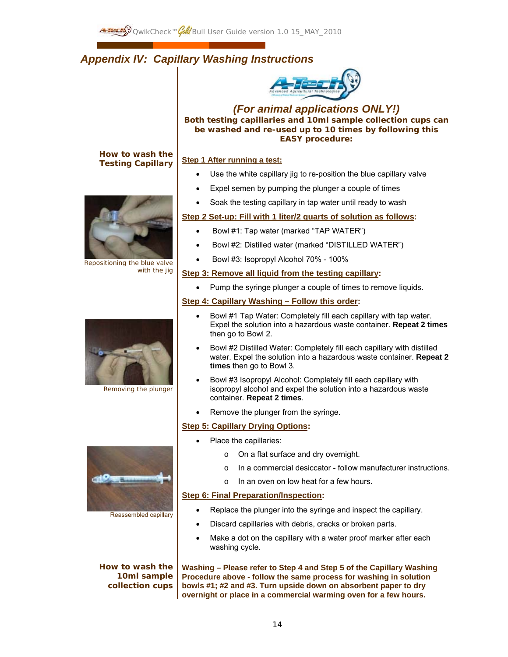# *Appendix IV: Capillary Washing Instructions*

![](_page_13_Picture_2.jpeg)

*(For animal applications ONLY!)*  **Both testing capillaries and 10ml sample collection cups can be washed and re-used up to 10 times by following this EASY procedure:** 

# **How to wash the Testing Capillary**

![](_page_13_Picture_4.jpeg)

Repositioning the blue valve with the jig

![](_page_13_Picture_6.jpeg)

Removing the plunger

![](_page_13_Picture_8.jpeg)

Reassembled capillary

**How to wash the 10ml sample collection cups**

# **Step 1 After running a test:**

- Use the white capillary jig to re-position the blue capillary valve
- Expel semen by pumping the plunger a couple of times
- Soak the testing capillary in tap water until ready to wash

# **Step 2 Set-up: Fill with 1 liter/2 quarts of solution as follows:**

- Bowl #1: Tap water (marked "TAP WATER")
- Bowl #2: Distilled water (marked "DISTILLED WATER")
- Bowl #3: Isopropyl Alcohol 70% 100%

## **Step 3: Remove all liquid from the testing capillary:**

• Pump the syringe plunger a couple of times to remove liquids.

# **Step 4: Capillary Washing – Follow this order:**

- Bowl #1 Tap Water: Completely fill each capillary with tap water. Expel the solution into a hazardous waste container. **Repeat 2 times** then go to Bowl 2.
- Bowl #2 Distilled Water: Completely fill each capillary with distilled water. Expel the solution into a hazardous waste container. **Repeat 2 times** then go to Bowl 3.
- Bowl #3 Isopropyl Alcohol: Completely fill each capillary with isopropyl alcohol and expel the solution into a hazardous waste container. **Repeat 2 times**.
- Remove the plunger from the syringe.

# **Step 5: Capillary Drying Options:**

- Place the capillaries:
	- o On a flat surface and dry overnight.
	- o In a commercial desiccator follow manufacturer instructions.
	- o In an oven on low heat for a few hours.

# **Step 6: Final Preparation/Inspection:**

- Replace the plunger into the syringe and inspect the capillary.
- Discard capillaries with debris, cracks or broken parts.
- Make a dot on the capillary with a water proof marker after each washing cycle.

**Washing – Please refer to Step 4 and Step 5 of the Capillary Washing Procedure above - follow the same process for washing in solution bowls #1; #2 and #3. Turn upside down on absorbent paper to dry overnight or place in a commercial warming oven for a few hours.**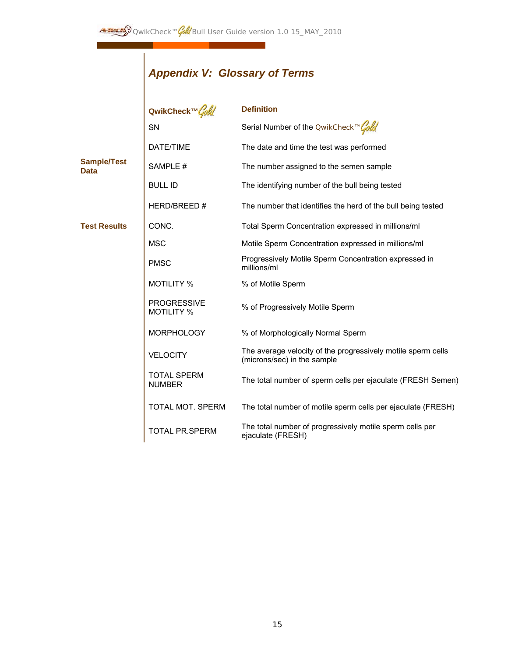# *Appendix V: Glossary of Terms*

|                                   | QwikCheck™Gold                          | <b>Definition</b>                                                                           |
|-----------------------------------|-----------------------------------------|---------------------------------------------------------------------------------------------|
|                                   | SN                                      | Serial Number of the OwikCheck™Gold                                                         |
|                                   | DATE/TIME                               | The date and time the test was performed                                                    |
| <b>Sample/Test</b><br><b>Data</b> | SAMPLE #                                | The number assigned to the semen sample                                                     |
|                                   | <b>BULL ID</b>                          | The identifying number of the bull being tested                                             |
|                                   | HERD/BREED#                             | The number that identifies the herd of the bull being tested                                |
| <b>Test Results</b>               | CONC.                                   | Total Sperm Concentration expressed in millions/ml                                          |
|                                   | <b>MSC</b>                              | Motile Sperm Concentration expressed in millions/ml                                         |
|                                   | <b>PMSC</b>                             | Progressively Motile Sperm Concentration expressed in<br>millions/ml                        |
|                                   | <b>MOTILITY %</b>                       | % of Motile Sperm                                                                           |
|                                   | <b>PROGRESSIVE</b><br><b>MOTILITY %</b> | % of Progressively Motile Sperm                                                             |
|                                   | <b>MORPHOLOGY</b>                       | % of Morphologically Normal Sperm                                                           |
|                                   | <b>VELOCITY</b>                         | The average velocity of the progressively motile sperm cells<br>(microns/sec) in the sample |
|                                   | <b>TOTAL SPERM</b><br><b>NUMBER</b>     | The total number of sperm cells per ejaculate (FRESH Semen)                                 |
|                                   | TOTAL MOT. SPERM                        | The total number of motile sperm cells per ejaculate (FRESH)                                |
|                                   | <b>TOTAL PR.SPERM</b>                   | The total number of progressively motile sperm cells per<br>ejaculate (FRESH)               |